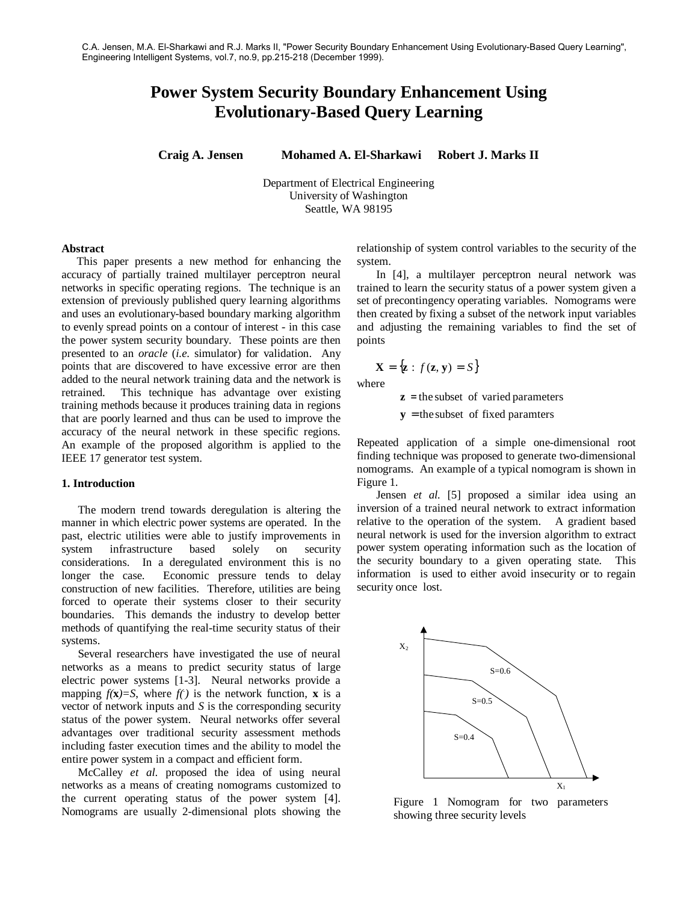# **Power System Security Boundary Enhancement Using Evolutionary-Based Query Learning**

**Craig A. Jensen Mohamed A. El-Sharkawi Robert J. Marks II**

Department of Electrical Engineering University of Washington Seattle, WA 98195

#### **Abstract**

This paper presents a new method for enhancing the accuracy of partially trained multilayer perceptron neural networks in specific operating regions. The technique is an extension of previously published query learning algorithms and uses an evolutionary-based boundary marking algorithm to evenly spread points on a contour of interest - in this case the power system security boundary. These points are then presented to an *oracle* (*i.e*. simulator) for validation. Any points that are discovered to have excessive error are then added to the neural network training data and the network is retrained. This technique has advantage over existing training methods because it produces training data in regions that are poorly learned and thus can be used to improve the accuracy of the neural network in these specific regions. An example of the proposed algorithm is applied to the IEEE 17 generator test system.

#### **1. Introduction**

The modern trend towards deregulation is altering the manner in which electric power systems are operated. In the past, electric utilities were able to justify improvements in system infrastructure based solely on security considerations. In a deregulated environment this is no longer the case. Economic pressure tends to delay construction of new facilities. Therefore, utilities are being forced to operate their systems closer to their security boundaries. This demands the industry to develop better methods of quantifying the real-time security status of their systems.

Several researchers have investigated the use of neural networks as a means to predict security status of large electric power systems [1-3]. Neural networks provide a mapping  $f(\mathbf{x}) = S$ , where  $f(·)$  is the network function, **x** is a vector of network inputs and *S* is the corresponding security status of the power system. Neural networks offer several advantages over traditional security assessment methods including faster execution times and the ability to model the entire power system in a compact and efficient form.

McCalley *et al*. proposed the idea of using neural networks as a means of creating nomograms customized to the current operating status of the power system [4]. Nomograms are usually 2-dimensional plots showing the relationship of system control variables to the security of the system.

 In [4], a multilayer perceptron neural network was trained to learn the security status of a power system given a set of precontingency operating variables. Nomograms were then created by fixing a subset of the network input variables and adjusting the remaining variables to find the set of points

$$
\mathbf{X} = \{ \mathbf{z} : f(\mathbf{z}, \mathbf{y}) = S \}
$$

where

 $z =$  the subset of varied parameters

 $y =$  the subset of fixed paramters

Repeated application of a simple one-dimensional root finding technique was proposed to generate two-dimensional nomograms. An example of a typical nomogram is shown in Figure 1.

 Jensen *et al.* [5] proposed a similar idea using an inversion of a trained neural network to extract information relative to the operation of the system. A gradient based neural network is used for the inversion algorithm to extract power system operating information such as the location of the security boundary to a given operating state. This information is used to either avoid insecurity or to regain security once lost.



Figure 1 Nomogram for two parameters showing three security levels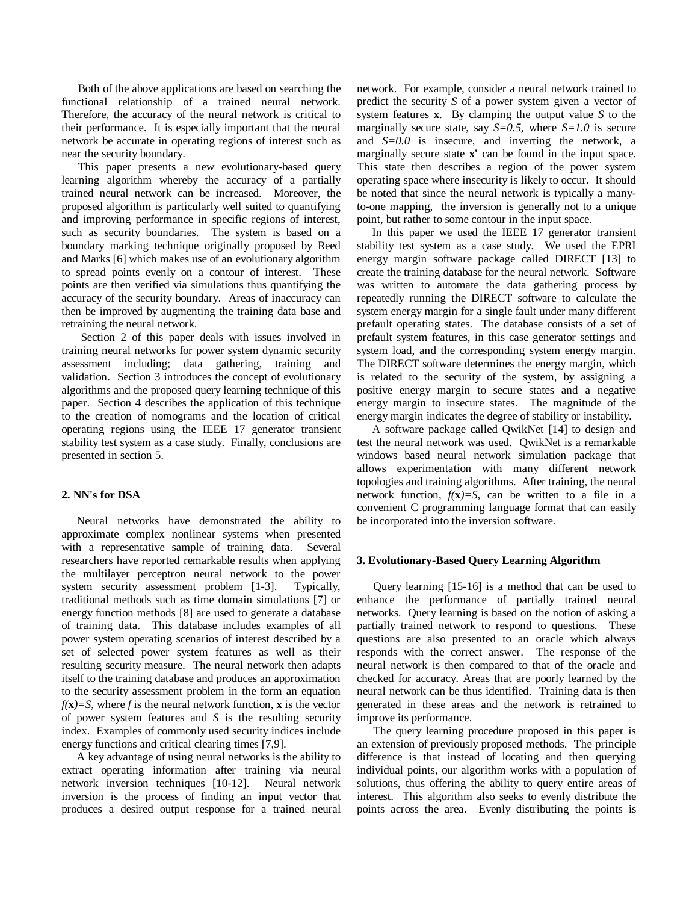Both of the above applications are based on searching the functional relationship of a trained neural network. Therefore, the accuracy of the neural network is critical to their performance. It is especially important that the neural network be accurate in operating regions of interest such as near the security boundary.

This paper presents a new evolutionary-based query learning algorithm whereby the accuracy of a partially trained neural network can be increased. Moreover, the proposed algorithm is particularly well suited to quantifying and improving performance in specific regions of interest, such as security boundaries. The system is based on a boundary marking technique originally proposed by Reed and Marks [6] which makes use of an evolutionary algorithm to spread points evenly on a contour of interest. These points are then verified via simulations thus quantifying the accuracy of the security boundary. Areas of inaccuracy can then be improved by augmenting the training data base and retraining the neural network.

 Section 2 of this paper deals with issues involved in training neural networks for power system dynamic security assessment including; data gathering, training and validation. Section 3 introduces the concept of evolutionary algorithms and the proposed query learning technique of this paper. Section 4 describes the application of this technique to the creation of nomograms and the location of critical operating regions using the IEEE 17 generator transient stability test system as a case study. Finally, conclusions are presented in section 5.

## **2. NN's for DSA**

Neural networks have demonstrated the ability to approximate complex nonlinear systems when presented with a representative sample of training data. Several researchers have reported remarkable results when applying the multilayer perceptron neural network to the power system security assessment problem [1-3]. Typically, traditional methods such as time domain simulations [7] or energy function methods [8] are used to generate a database of training data. This database includes examples of all power system operating scenarios of interest described by a set of selected power system features as well as their resulting security measure. The neural network then adapts itself to the training database and produces an approximation to the security assessment problem in the form an equation  $f(\mathbf{x}) = S$ , where *f* is the neural network function, **x** is the vector of power system features and *S* is the resulting security index. Examples of commonly used security indices include energy functions and critical clearing times [7,9].

A key advantage of using neural networks is the ability to extract operating information after training via neural network inversion techniques [10-12]. Neural network inversion is the process of finding an input vector that produces a desired output response for a trained neural

network. For example, consider a neural network trained to predict the security *S* of a power system given a vector of system features **x**. By clamping the output value *S* to the marginally secure state, say  $S=0.5$ , where  $S=1.0$  is secure and *S=0.0* is insecure, and inverting the network, a marginally secure state **x'** can be found in the input space. This state then describes a region of the power system operating space where insecurity is likely to occur. It should be noted that since the neural network is typically a manyto-one mapping, the inversion is generally not to a unique point, but rather to some contour in the input space.

In this paper we used the IEEE 17 generator transient stability test system as a case study. We used the EPRI energy margin software package called DIRECT [13] to create the training database for the neural network. Software was written to automate the data gathering process by repeatedly running the DIRECT software to calculate the system energy margin for a single fault under many different prefault operating states. The database consists of a set of prefault system features, in this case generator settings and system load, and the corresponding system energy margin. The DIRECT software determines the energy margin, which is related to the security of the system, by assigning a positive energy margin to secure states and a negative energy margin to insecure states. The magnitude of the energy margin indicates the degree of stability or instability.

A software package called QwikNet [14] to design and test the neural network was used. QwikNet is a remarkable windows based neural network simulation package that allows experimentation with many different network topologies and training algorithms. After training, the neural network function,  $f(\mathbf{x})=S$ , can be written to a file in a convenient C programming language format that can easily be incorporated into the inversion software.

#### **3. Evolutionary-Based Query Learning Algorithm**

Query learning [15-16] is a method that can be used to enhance the performance of partially trained neural networks. Query learning is based on the notion of asking a partially trained network to respond to questions. These questions are also presented to an oracle which always responds with the correct answer. The response of the neural network is then compared to that of the oracle and checked for accuracy. Areas that are poorly learned by the neural network can be thus identified. Training data is then generated in these areas and the network is retrained to improve its performance.

The query learning procedure proposed in this paper is an extension of previously proposed methods. The principle difference is that instead of locating and then querying individual points, our algorithm works with a population of solutions, thus offering the ability to query entire areas of interest. This algorithm also seeks to evenly distribute the points across the area. Evenly distributing the points is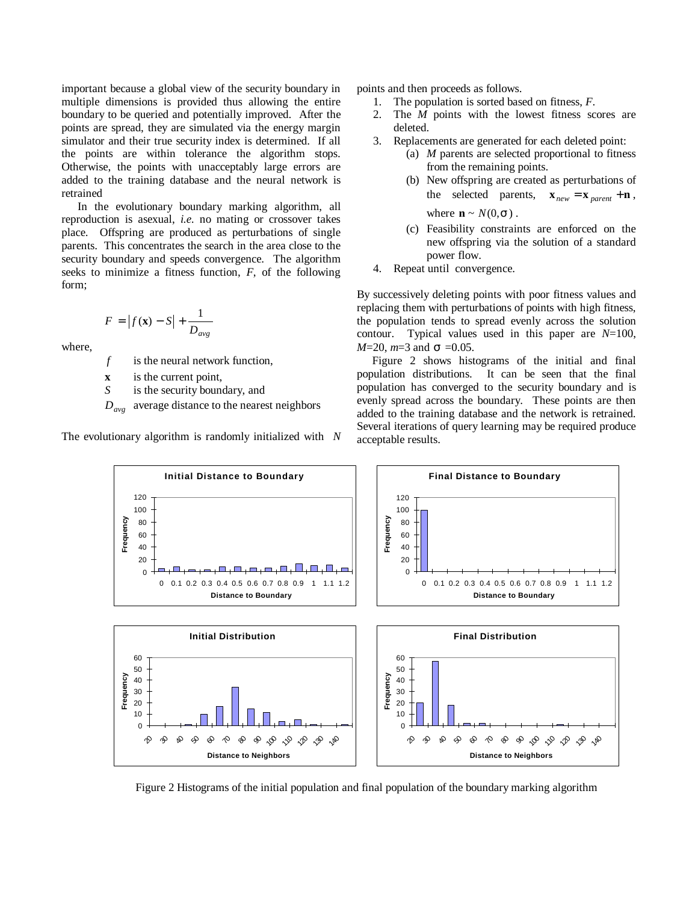important because a global view of the security boundary in multiple dimensions is provided thus allowing the entire boundary to be queried and potentially improved. After the points are spread, they are simulated via the energy margin simulator and their true security index is determined. If all the points are within tolerance the algorithm stops. Otherwise, the points with unacceptably large errors are added to the training database and the neural network is retrained

In the evolutionary boundary marking algorithm, all reproduction is asexual, *i.e.* no mating or crossover takes place. Offspring are produced as perturbations of single parents. This concentrates the search in the area close to the security boundary and speeds convergence. The algorithm seeks to minimize a fitness function, *F*, of the following form;

$$
F = |f(\mathbf{x}) - S| + \frac{1}{D_{avg}}
$$

where,

*f* is the neural network function,

**x** is the current point,

*S* is the security boundary, and

 $D_{avg}$  average distance to the nearest neighbors

The evolutionary algorithm is randomly initialized with *N*

points and then proceeds as follows.

- 1. The population is sorted based on fitness, *F*.
- 2. The *M* points with the lowest fitness scores are deleted.
- 3. Replacements are generated for each deleted point:
	- (a) *M* parents are selected proportional to fitness from the remaining points.
	- (b) New offspring are created as perturbations of the selected parents,  $\mathbf{x}_{new} = \mathbf{x}_{parent} + \mathbf{n}$ , where  $\mathbf{n} \sim N(0, \mathbf{s})$ .
	- (c) Feasibility constraints are enforced on the new offspring via the solution of a standard power flow.
- 4. Repeat until convergence.

By successively deleting points with poor fitness values and replacing them with perturbations of points with high fitness, the population tends to spread evenly across the solution contour. Typical values used in this paper are *N*=100, *M*=20, *m*=3 and *s* =0.05.

Figure 2 shows histograms of the initial and final population distributions. It can be seen that the final population has converged to the security boundary and is evenly spread across the boundary. These points are then added to the training database and the network is retrained. Several iterations of query learning may be required produce acceptable results.



Figure 2 Histograms of the initial population and final population of the boundary marking algorithm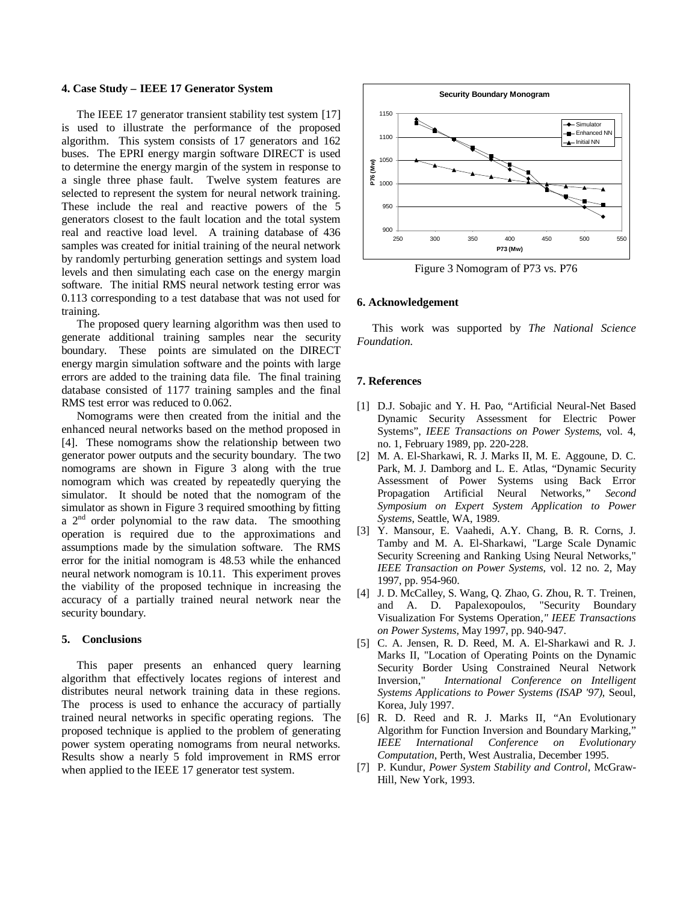### **4. Case Study – IEEE 17 Generator System**

The IEEE 17 generator transient stability test system [17] is used to illustrate the performance of the proposed algorithm. This system consists of 17 generators and 162 buses. The EPRI energy margin software DIRECT is used to determine the energy margin of the system in response to a single three phase fault. Twelve system features are selected to represent the system for neural network training. These include the real and reactive powers of the 5 generators closest to the fault location and the total system real and reactive load level. A training database of 436 samples was created for initial training of the neural network by randomly perturbing generation settings and system load levels and then simulating each case on the energy margin software. The initial RMS neural network testing error was 0.113 corresponding to a test database that was not used for training.

The proposed query learning algorithm was then used to generate additional training samples near the security boundary. These points are simulated on the DIRECT energy margin simulation software and the points with large errors are added to the training data file. The final training database consisted of 1177 training samples and the final RMS test error was reduced to 0.062.

Nomograms were then created from the initial and the enhanced neural networks based on the method proposed in [4]. These nomograms show the relationship between two generator power outputs and the security boundary. The two nomograms are shown in Figure 3 along with the true nomogram which was created by repeatedly querying the simulator. It should be noted that the nomogram of the simulator as shown in Figure 3 required smoothing by fitting a  $2<sup>nd</sup>$  order polynomial to the raw data. The smoothing operation is required due to the approximations and assumptions made by the simulation software. The RMS error for the initial nomogram is 48.53 while the enhanced neural network nomogram is 10.11. This experiment proves the viability of the proposed technique in increasing the accuracy of a partially trained neural network near the security boundary.

### **5. Conclusions**

This paper presents an enhanced query learning algorithm that effectively locates regions of interest and distributes neural network training data in these regions. The process is used to enhance the accuracy of partially trained neural networks in specific operating regions. The proposed technique is applied to the problem of generating power system operating nomograms from neural networks. Results show a nearly 5 fold improvement in RMS error when applied to the IEEE 17 generator test system.



Figure 3 Nomogram of P73 vs. P76

#### **6. Acknowledgement**

This work was supported by *The National Science Foundation.*

#### **7. References**

- [1] D.J. Sobajic and Y. H. Pao, "Artificial Neural-Net Based Dynamic Security Assessment for Electric Power Systems", *IEEE Transactions on Power Systems*, vol. 4, no. 1, February 1989, pp. 220-228.
- [2] M. A. El-Sharkawi, R. J. Marks II, M. E. Aggoune, D. C. Park, M. J. Damborg and L. E. Atlas, "Dynamic Security Assessment of Power Systems using Back Error Propagation Artificial Neural Networks*," Second Symposium on Expert System Application to Power Systems*, Seattle, WA, 1989.
- [3] Y. Mansour, E. Vaahedi, A.Y. Chang, B. R. Corns, J. Tamby and M. A. El-Sharkawi, "Large Scale Dynamic Security Screening and Ranking Using Neural Networks," *IEEE Transaction on Power Systems*, vol. 12 no. 2, May 1997, pp. 954-960.
- [4] J. D. McCalley, S. Wang, Q. Zhao, G. Zhou, R. T. Treinen, and A. D. Papalexopoulos, "Security Boundary Visualization For Systems Operation*," IEEE Transactions on Power Systems*, May 1997, pp. 940-947.
- [5] C. A. Jensen, R. D. Reed, M. A. El-Sharkawi and R. J. Marks II, "Location of Operating Points on the Dynamic Security Border Using Constrained Neural Network Inversion," *International Conference on Intelligent Systems Applications to Power Systems (ISAP '97)*, Seoul, Korea, July 1997.
- [6] R. D. Reed and R. J. Marks II, "An Evolutionary Algorithm for Function Inversion and Boundary Marking," *IEEE International Conference on Evolutionary Computation*, Perth, West Australia, December 1995.
- [7] P. Kundur, *Power System Stability and Control*, McGraw-Hill, New York, 1993.